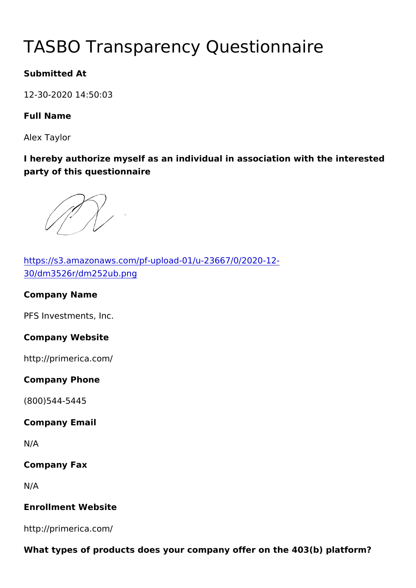# TASBO Transparency Questionna

Submitted At

12-30-2020 14:50:03

Full Name

Alex Taylor

I hereby authorize myself as an individual in association with the party of this questionnaire

[https://s3.amazonaws.com/pf-upload-01/u-2](https://s3.amazonaws.com/pf-upload-01/u-23667/0/2020-12-30/dm3526r/dm252ub.png)3667/0/2020-12- [30/dm3526r/dm252u](https://s3.amazonaws.com/pf-upload-01/u-23667/0/2020-12-30/dm3526r/dm252ub.png)b.png Company Name PFS Investments, Inc. Company Website http://primerica.com/ Company Phone (800)544-5445 Company Email N/A Company Fax N/A Enrollment Website http://primerica.com/

What types of products does your company offer on the  $403(b)$  platform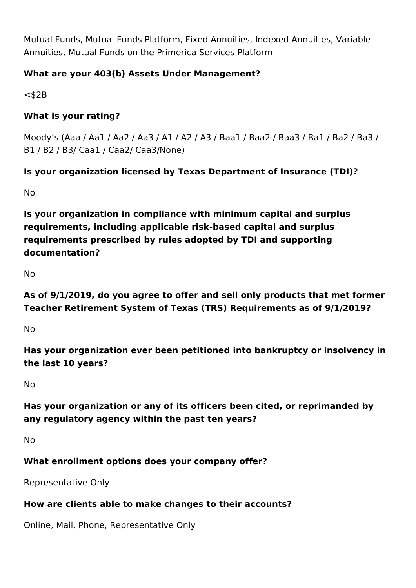Mutual Funds, Mutual Funds Platform, Fixed Annuities, Indexed Annuities, Variable Annuities, Mutual Funds on the Primerica Services Platform

### **What are your 403(b) Assets Under Management?**

 $<$ \$2B

### **What is your rating?**

Moody's (Aaa / Aa1 / Aa2 / Aa3 / A1 / A2 / A3 / Baa1 / Baa2 / Baa3 / Ba1 / Ba2 / Ba3 / B1 / B2 / B3/ Caa1 / Caa2/ Caa3/None)

## **Is your organization licensed by Texas Department of Insurance (TDI)?**

No

**Is your organization in compliance with minimum capital and surplus requirements, including applicable risk-based capital and surplus requirements prescribed by rules adopted by TDI and supporting documentation?**

No

**As of 9/1/2019, do you agree to offer and sell only products that met former Teacher Retirement System of Texas (TRS) Requirements as of 9/1/2019?**

No

**Has your organization ever been petitioned into bankruptcy or insolvency in the last 10 years?**

No

# **Has your organization or any of its officers been cited, or reprimanded by any regulatory agency within the past ten years?**

No

## **What enrollment options does your company offer?**

Representative Only

### **How are clients able to make changes to their accounts?**

Online, Mail, Phone, Representative Only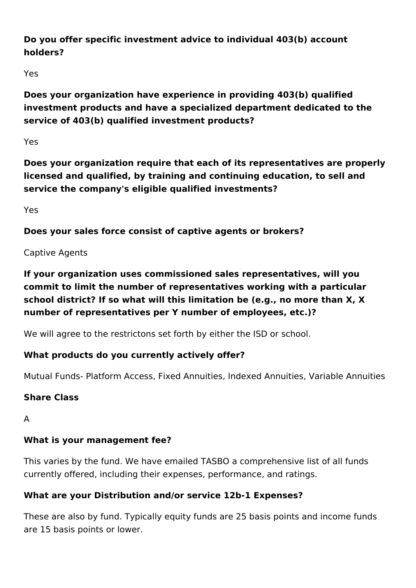## **Do you offer specific investment advice to individual 403(b) account holders?**

Yes

**Does your organization have experience in providing 403(b) qualified investment products and have a specialized department dedicated to the service of 403(b) qualified investment products?**

Yes

**Does your organization require that each of its representatives are properly licensed and qualified, by training and continuing education, to sell and service the company's eligible qualified investments?** 

Yes

**Does your sales force consist of captive agents or brokers?**

# Captive Agents

**If your organization uses commissioned sales representatives, will you commit to limit the number of representatives working with a particular school district? If so what will this limitation be (e.g., no more than X, X number of representatives per Y number of employees, etc.)?**

We will agree to the restrictons set forth by either the ISD or school.

# **What products do you currently actively offer?**

Mutual Funds- Platform Access, Fixed Annuities, Indexed Annuities, Variable Annuities

# **Share Class**

A

# **What is your management fee?**

This varies by the fund. We have emailed TASBO a comprehensive list of all funds currently offered, including their expenses, performance, and ratings.

# **What are your Distribution and/or service 12b-1 Expenses?**

These are also by fund. Typically equity funds are 25 basis points and income funds are 15 basis points or lower.